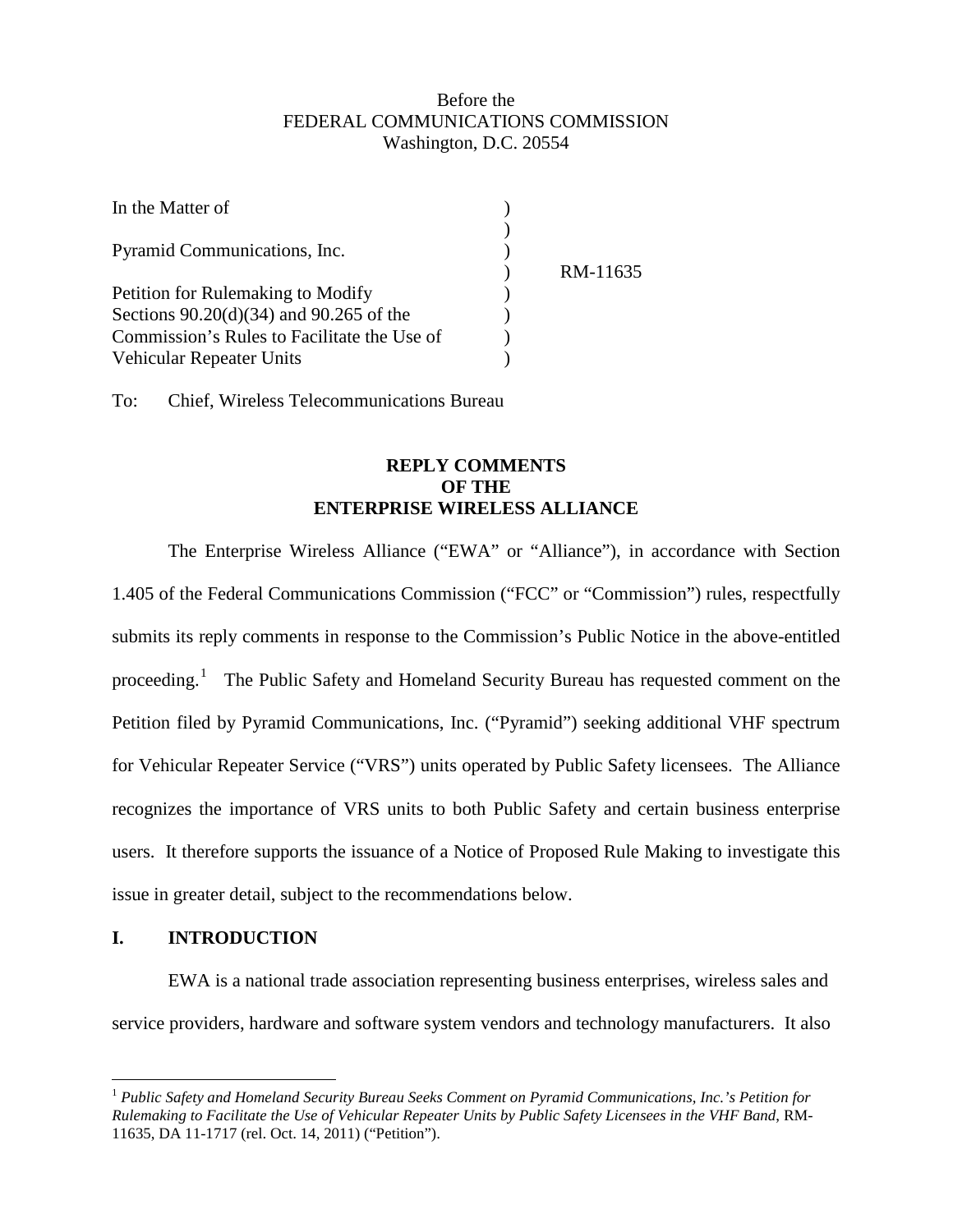## Before the FEDERAL COMMUNICATIONS COMMISSION Washington, D.C. 20554

| In the Matter of                            |          |
|---------------------------------------------|----------|
| Pyramid Communications, Inc.                |          |
|                                             | RM-11635 |
| Petition for Rulemaking to Modify           |          |
| Sections $90.20(d)(34)$ and $90.265$ of the |          |
| Commission's Rules to Facilitate the Use of |          |
| Vehicular Repeater Units                    |          |

To: Chief, Wireless Telecommunications Bureau

## **REPLY COMMENTS OF THE ENTERPRISE WIRELESS ALLIANCE**

The Enterprise Wireless Alliance ("EWA" or "Alliance"), in accordance with Section 1.405 of the Federal Communications Commission ("FCC" or "Commission") rules, respectfully submits its reply comments in response to the Commission's Public Notice in the above-entitled proceeding.<sup>[1](#page-0-0)</sup> The Public Safety and Homeland Security Bureau has requested comment on the Petition filed by Pyramid Communications, Inc. ("Pyramid") seeking additional VHF spectrum for Vehicular Repeater Service ("VRS") units operated by Public Safety licensees. The Alliance recognizes the importance of VRS units to both Public Safety and certain business enterprise users. It therefore supports the issuance of a Notice of Proposed Rule Making to investigate this issue in greater detail, subject to the recommendations below.

## **I. INTRODUCTION**

EWA is a national trade association representing business enterprises, wireless sales and service providers, hardware and software system vendors and technology manufacturers. It also

<span id="page-0-0"></span> <sup>1</sup> *Public Safety and Homeland Security Bureau Seeks Comment on Pyramid Communications, Inc.'s Petition for Rulemaking to Facilitate the Use of Vehicular Repeater Units by Public Safety Licensees in the VHF Band*, RM-11635, DA 11-1717 (rel. Oct. 14, 2011) ("Petition").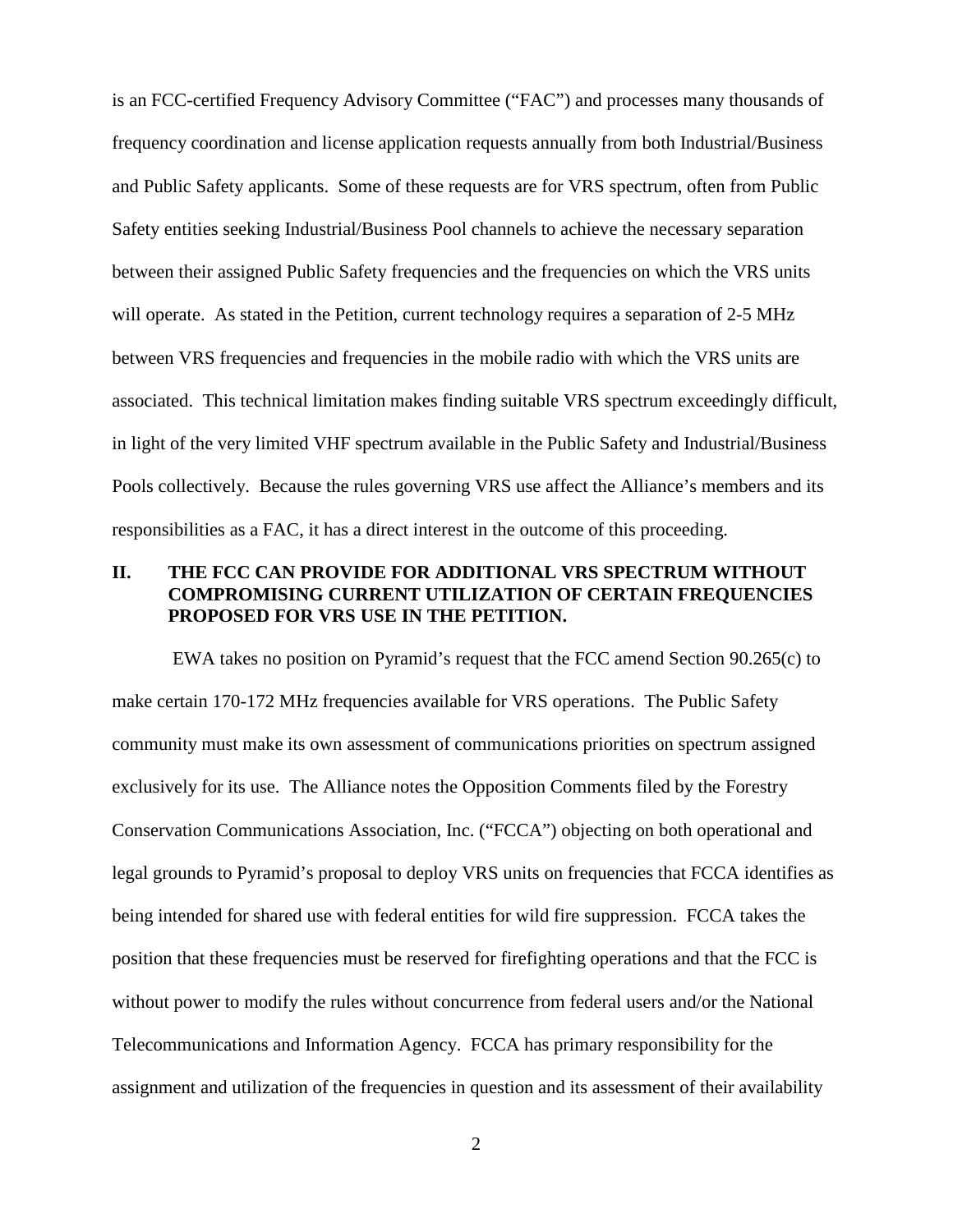is an FCC-certified Frequency Advisory Committee ("FAC") and processes many thousands of frequency coordination and license application requests annually from both Industrial/Business and Public Safety applicants. Some of these requests are for VRS spectrum, often from Public Safety entities seeking Industrial/Business Pool channels to achieve the necessary separation between their assigned Public Safety frequencies and the frequencies on which the VRS units will operate. As stated in the Petition, current technology requires a separation of 2-5 MHz between VRS frequencies and frequencies in the mobile radio with which the VRS units are associated. This technical limitation makes finding suitable VRS spectrum exceedingly difficult, in light of the very limited VHF spectrum available in the Public Safety and Industrial/Business Pools collectively. Because the rules governing VRS use affect the Alliance's members and its responsibilities as a FAC, it has a direct interest in the outcome of this proceeding.

## **II. THE FCC CAN PROVIDE FOR ADDITIONAL VRS SPECTRUM WITHOUT COMPROMISING CURRENT UTILIZATION OF CERTAIN FREQUENCIES PROPOSED FOR VRS USE IN THE PETITION.**

EWA takes no position on Pyramid's request that the FCC amend Section 90.265(c) to make certain 170-172 MHz frequencies available for VRS operations. The Public Safety community must make its own assessment of communications priorities on spectrum assigned exclusively for its use. The Alliance notes the Opposition Comments filed by the Forestry Conservation Communications Association, Inc. ("FCCA") objecting on both operational and legal grounds to Pyramid's proposal to deploy VRS units on frequencies that FCCA identifies as being intended for shared use with federal entities for wild fire suppression. FCCA takes the position that these frequencies must be reserved for firefighting operations and that the FCC is without power to modify the rules without concurrence from federal users and/or the National Telecommunications and Information Agency. FCCA has primary responsibility for the assignment and utilization of the frequencies in question and its assessment of their availability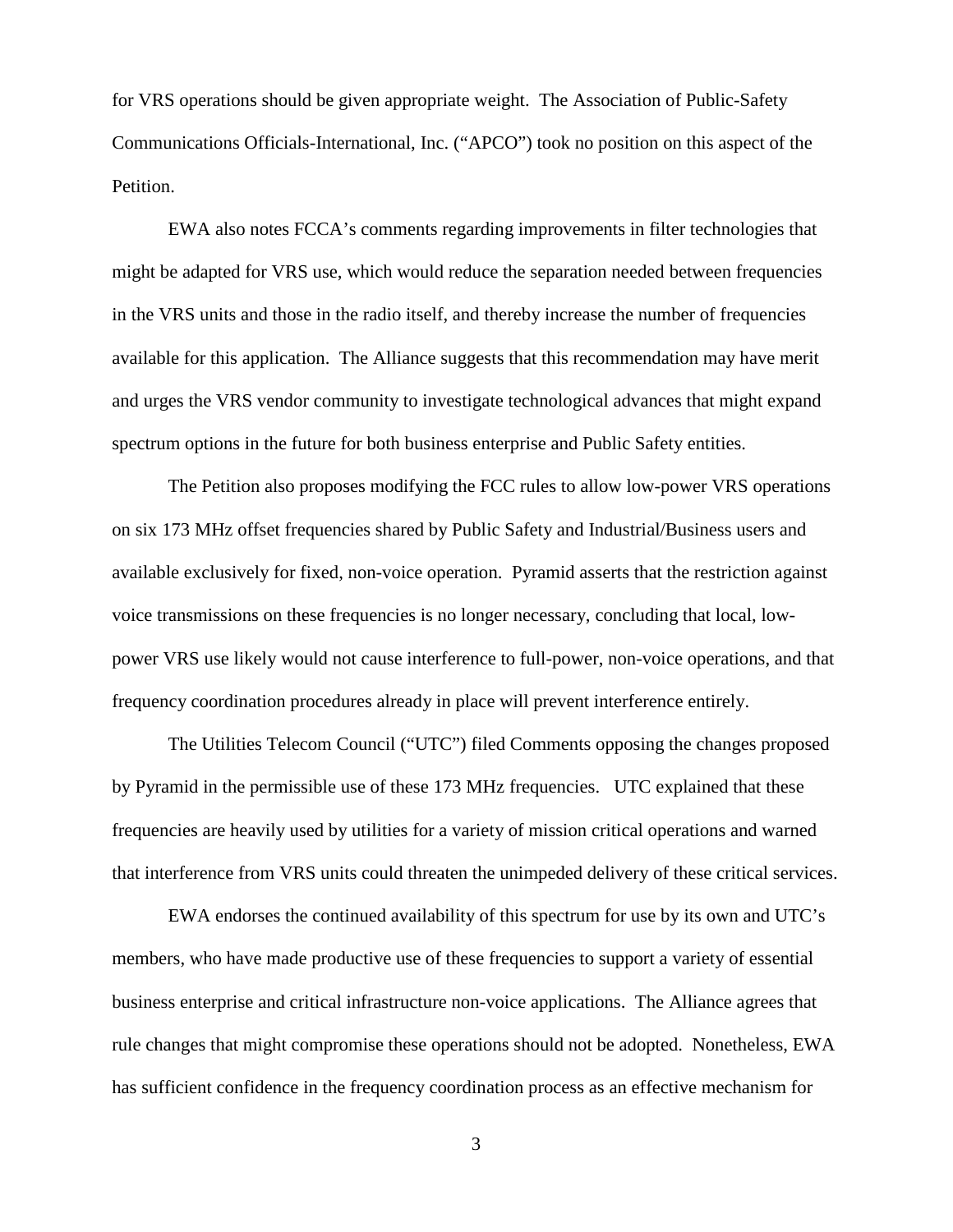for VRS operations should be given appropriate weight. The Association of Public-Safety Communications Officials-International, Inc. ("APCO") took no position on this aspect of the Petition.

EWA also notes FCCA's comments regarding improvements in filter technologies that might be adapted for VRS use, which would reduce the separation needed between frequencies in the VRS units and those in the radio itself, and thereby increase the number of frequencies available for this application. The Alliance suggests that this recommendation may have merit and urges the VRS vendor community to investigate technological advances that might expand spectrum options in the future for both business enterprise and Public Safety entities.

The Petition also proposes modifying the FCC rules to allow low-power VRS operations on six 173 MHz offset frequencies shared by Public Safety and Industrial/Business users and available exclusively for fixed, non-voice operation. Pyramid asserts that the restriction against voice transmissions on these frequencies is no longer necessary, concluding that local, lowpower VRS use likely would not cause interference to full-power, non-voice operations, and that frequency coordination procedures already in place will prevent interference entirely.

The Utilities Telecom Council ("UTC") filed Comments opposing the changes proposed by Pyramid in the permissible use of these 173 MHz frequencies. UTC explained that these frequencies are heavily used by utilities for a variety of mission critical operations and warned that interference from VRS units could threaten the unimpeded delivery of these critical services.

EWA endorses the continued availability of this spectrum for use by its own and UTC's members, who have made productive use of these frequencies to support a variety of essential business enterprise and critical infrastructure non-voice applications. The Alliance agrees that rule changes that might compromise these operations should not be adopted. Nonetheless, EWA has sufficient confidence in the frequency coordination process as an effective mechanism for

3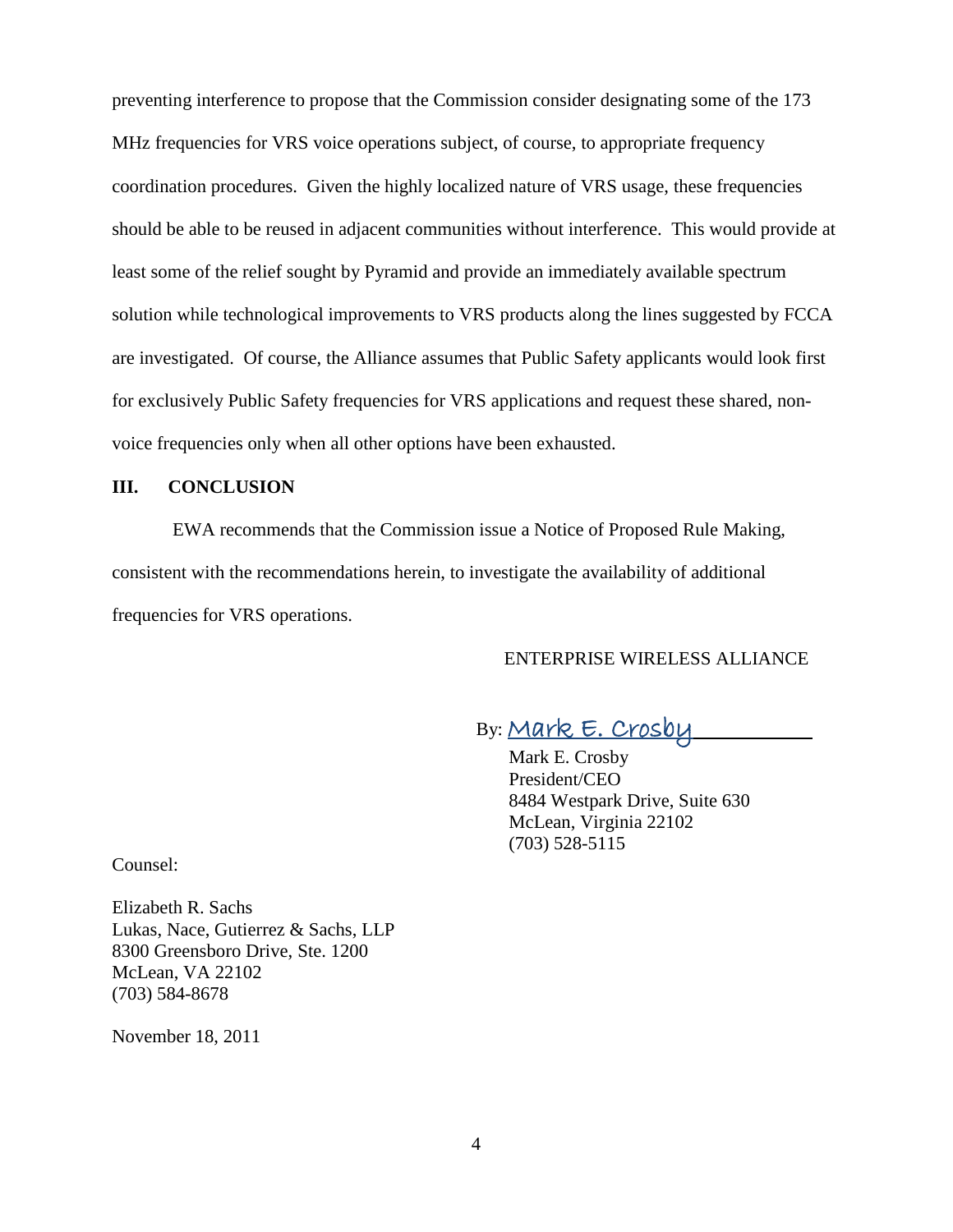preventing interference to propose that the Commission consider designating some of the 173 MHz frequencies for VRS voice operations subject, of course, to appropriate frequency coordination procedures. Given the highly localized nature of VRS usage, these frequencies should be able to be reused in adjacent communities without interference. This would provide at least some of the relief sought by Pyramid and provide an immediately available spectrum solution while technological improvements to VRS products along the lines suggested by FCCA are investigated. Of course, the Alliance assumes that Public Safety applicants would look first for exclusively Public Safety frequencies for VRS applications and request these shared, nonvoice frequencies only when all other options have been exhausted.

### **III. CONCLUSION**

EWA recommends that the Commission issue a Notice of Proposed Rule Making, consistent with the recommendations herein, to investigate the availability of additional frequencies for VRS operations.

## ENTERPRISE WIRELESS ALLIANCE

# By: <u>Mark E. Crosby</u> \_\_\_\_\_\_\_

Mark E. Crosby President/CEO 8484 Westpark Drive, Suite 630 McLean, Virginia 22102 (703) 528-5115

Counsel:

Elizabeth R. Sachs Lukas, Nace, Gutierrez & Sachs, LLP 8300 Greensboro Drive, Ste. 1200 McLean, VA 22102 (703) 584-8678

November 18, 2011